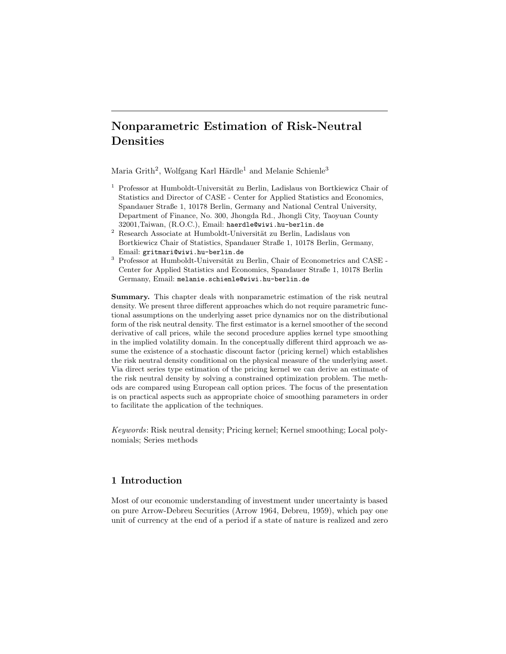# Nonparametric Estimation of Risk-Neutral Densities

Maria Grith<sup>2</sup>, Wolfgang Karl Härdle<sup>1</sup> and Melanie Schienle<sup>3</sup>

- $1$  Professor at Humboldt-Universität zu Berlin, Ladislaus von Bortkiewicz Chair of Statistics and Director of CASE - Center for Applied Statistics and Economics, Spandauer Straße 1, 10178 Berlin, Germany and National Central University, Department of Finance, No. 300, Jhongda Rd., Jhongli City, Taoyuan County 32001,Taiwan, (R.O.C.), Email: haerdle@wiwi.hu-berlin.de
- <sup>2</sup> Research Associate at Humboldt-Universität zu Berlin, Ladislaus von Bortkiewicz Chair of Statistics, Spandauer Straße 1, 10178 Berlin, Germany, Email: gritmari@wiwi.hu-berlin.de
- $^3$  Professor at Humboldt-Universität zu Berlin, Chair of Econometrics and CASE -Center for Applied Statistics and Economics, Spandauer Straße 1, 10178 Berlin Germany, Email: melanie.schienle@wiwi.hu-berlin.de

Summary. This chapter deals with nonparametric estimation of the risk neutral density. We present three different approaches which do not require parametric functional assumptions on the underlying asset price dynamics nor on the distributional form of the risk neutral density. The first estimator is a kernel smoother of the second derivative of call prices, while the second procedure applies kernel type smoothing in the implied volatility domain. In the conceptually different third approach we assume the existence of a stochastic discount factor (pricing kernel) which establishes the risk neutral density conditional on the physical measure of the underlying asset. Via direct series type estimation of the pricing kernel we can derive an estimate of the risk neutral density by solving a constrained optimization problem. The methods are compared using European call option prices. The focus of the presentation is on practical aspects such as appropriate choice of smoothing parameters in order to facilitate the application of the techniques.

Keywords: Risk neutral density; Pricing kernel; Kernel smoothing; Local polynomials; Series methods

# 1 Introduction

Most of our economic understanding of investment under uncertainty is based on pure Arrow-Debreu Securities (Arrow 1964, Debreu, 1959), which pay one unit of currency at the end of a period if a state of nature is realized and zero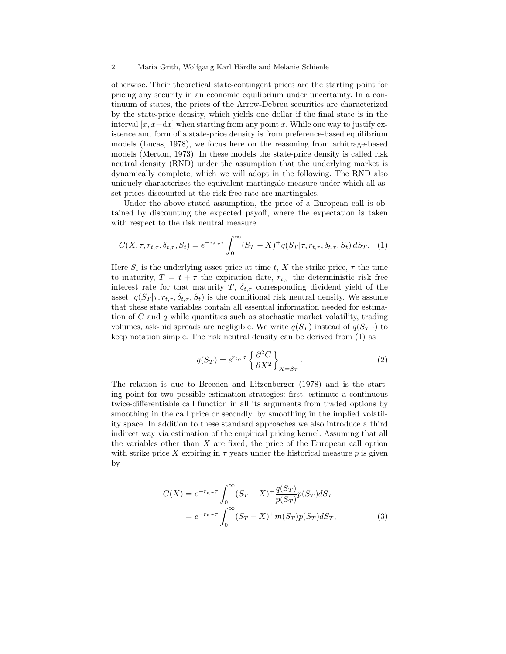otherwise. Their theoretical state-contingent prices are the starting point for pricing any security in an economic equilibrium under uncertainty. In a continuum of states, the prices of the Arrow-Debreu securities are characterized by the state-price density, which yields one dollar if the final state is in the interval  $[x, x+dx]$  when starting from any point x. While one way to justify existence and form of a state-price density is from preference-based equilibrium models (Lucas, 1978), we focus here on the reasoning from arbitrage-based models (Merton, 1973). In these models the state-price density is called risk neutral density (RND) under the assumption that the underlying market is dynamically complete, which we will adopt in the following. The RND also uniquely characterizes the equivalent martingale measure under which all asset prices discounted at the risk-free rate are martingales.

Under the above stated assumption, the price of a European call is obtained by discounting the expected payoff, where the expectation is taken with respect to the risk neutral measure

$$
C(X, \tau, r_{t,\tau}, \delta_{t,\tau}, S_t) = e^{-r_{t,\tau}\tau} \int_0^\infty (S_T - X)^+ q(S_T | \tau, r_{t,\tau}, \delta_{t,\tau}, S_t) dS_T.
$$
 (1)

Here  $S_t$  is the underlying asset price at time t, X the strike price,  $\tau$  the time to maturity,  $T = t + \tau$  the expiration date,  $r_{t,\tau}$  the deterministic risk free interest rate for that maturity T,  $\delta_{t,\tau}$  corresponding dividend yield of the asset,  $q(S_T | \tau, r_{t,\tau}, \delta_{t,\tau}, S_t)$  is the conditional risk neutral density. We assume that these state variables contain all essential information needed for estimation of  $C$  and  $q$  while quantities such as stochastic market volatility, trading volumes, ask-bid spreads are negligible. We write  $q(S_T)$  instead of  $q(S_T|\cdot)$  to keep notation simple. The risk neutral density can be derived from (1) as

$$
q(S_T) = e^{r_{t,\tau}\tau} \left\{ \frac{\partial^2 C}{\partial X^2} \right\}_{X = S_T} . \tag{2}
$$

The relation is due to Breeden and Litzenberger (1978) and is the starting point for two possible estimation strategies: first, estimate a continuous twice-differentiable call function in all its arguments from traded options by smoothing in the call price or secondly, by smoothing in the implied volatility space. In addition to these standard approaches we also introduce a third indirect way via estimation of the empirical pricing kernel. Assuming that all the variables other than X are fixed, the price of the European call option with strike price X expiring in  $\tau$  years under the historical measure p is given by

$$
C(X) = e^{-r_{t,\tau}\tau} \int_0^{\infty} (S_T - X)^+ \frac{q(S_T)}{p(S_T)} p(S_T) dS_T
$$
  
= 
$$
e^{-r_{t,\tau}\tau} \int_0^{\infty} (S_T - X)^+ m(S_T) p(S_T) dS_T,
$$
 (3)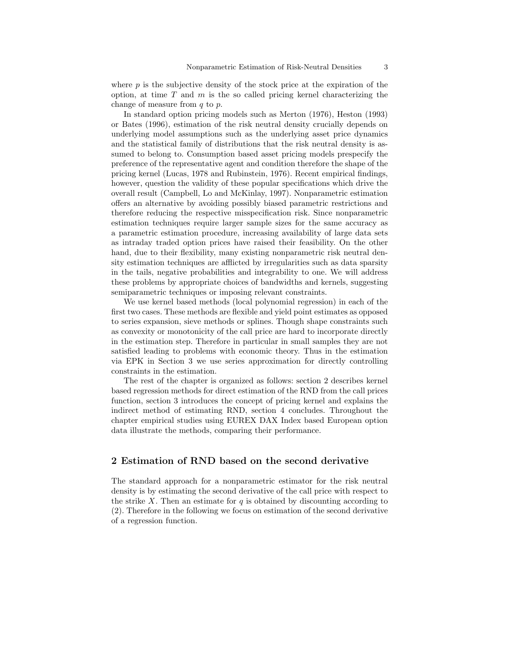where  $p$  is the subjective density of the stock price at the expiration of the option, at time  $T$  and  $m$  is the so called pricing kernel characterizing the change of measure from q to p.

In standard option pricing models such as Merton (1976), Heston (1993) or Bates (1996), estimation of the risk neutral density crucially depends on underlying model assumptions such as the underlying asset price dynamics and the statistical family of distributions that the risk neutral density is assumed to belong to. Consumption based asset pricing models prespecify the preference of the representative agent and condition therefore the shape of the pricing kernel (Lucas, 1978 and Rubinstein, 1976). Recent empirical findings, however, question the validity of these popular specifications which drive the overall result (Campbell, Lo and McKinlay, 1997). Nonparametric estimation offers an alternative by avoiding possibly biased parametric restrictions and therefore reducing the respective misspecification risk. Since nonparametric estimation techniques require larger sample sizes for the same accuracy as a parametric estimation procedure, increasing availability of large data sets as intraday traded option prices have raised their feasibility. On the other hand, due to their flexibility, many existing nonparametric risk neutral density estimation techniques are afflicted by irregularities such as data sparsity in the tails, negative probabilities and integrability to one. We will address these problems by appropriate choices of bandwidths and kernels, suggesting semiparametric techniques or imposing relevant constraints.

We use kernel based methods (local polynomial regression) in each of the first two cases. These methods are flexible and yield point estimates as opposed to series expansion, sieve methods or splines. Though shape constraints such as convexity or monotonicity of the call price are hard to incorporate directly in the estimation step. Therefore in particular in small samples they are not satisfied leading to problems with economic theory. Thus in the estimation via EPK in Section 3 we use series approximation for directly controlling constraints in the estimation.

The rest of the chapter is organized as follows: section 2 describes kernel based regression methods for direct estimation of the RND from the call prices function, section 3 introduces the concept of pricing kernel and explains the indirect method of estimating RND, section 4 concludes. Throughout the chapter empirical studies using EUREX DAX Index based European option data illustrate the methods, comparing their performance.

# 2 Estimation of RND based on the second derivative

The standard approach for a nonparametric estimator for the risk neutral density is by estimating the second derivative of the call price with respect to the strike X. Then an estimate for q is obtained by discounting according to (2). Therefore in the following we focus on estimation of the second derivative of a regression function.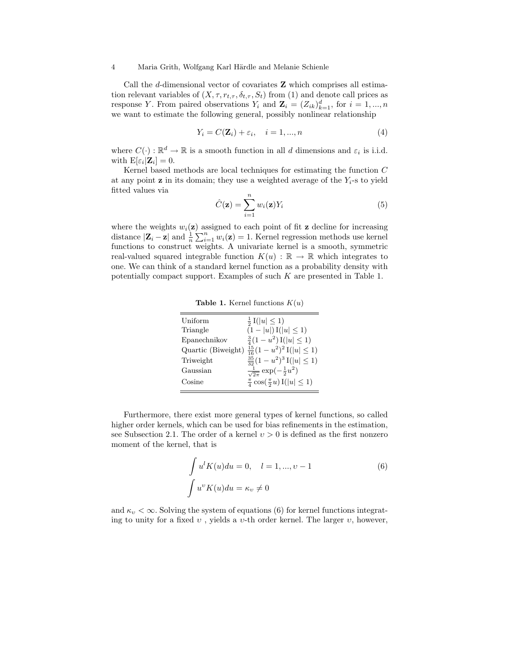Call the d-dimensional vector of covariates Z which comprises all estimation relevant variables of  $(X, \tau, r_{t,\tau}, \delta_{t,\tau}, S_t)$  from (1) and denote call prices as response Y. From paired observations  $Y_i$  and  $\mathbf{Z}_i = (Z_{ik})_{k=1}^d$ , for  $i = 1, ..., n$ we want to estimate the following general, possibly nonlinear relationship

$$
Y_i = C(\mathbf{Z}_i) + \varepsilon_i, \quad i = 1, ..., n
$$
\n<sup>(4)</sup>

where  $C(\cdot): \mathbb{R}^d \to \mathbb{R}$  is a smooth function in all d dimensions and  $\varepsilon_i$  is i.i.d. with  $\mathrm{E}[\varepsilon_i|\mathbf{Z}_i]=0.$ 

Kernel based methods are local techniques for estimating the function C at any point z in its domain; they use a weighted average of the  $Y_i$ -s to yield fitted values via

$$
\hat{C}(\mathbf{z}) = \sum_{i=1}^{n} w_i(\mathbf{z}) Y_i
$$
\n(5)

where the weights  $w_i(\mathbf{z})$  assigned to each point of fit  $\mathbf{z}$  decline for increasing distance  $|\mathbf{Z}_i - \mathbf{z}|$  and  $\frac{1}{n} \sum_{i=1}^n w_i(\mathbf{z}) = 1$ . Kernel regression methods use kernel functions to construct weights. A univariate kernel is a smooth, symmetric real-valued squared integrable function  $K(u) : \mathbb{R} \to \mathbb{R}$  which integrates to one. We can think of a standard kernel function as a probability density with potentially compact support. Examples of such  $K$  are presented in Table 1.

| Uniform      | $\frac{1}{2}$ I( u  $\leq$ 1)                            |
|--------------|----------------------------------------------------------|
| Triangle     | $(1- u )\mathrm{I}( u \leq 1)$                           |
| Epanechnikov | $\frac{3}{4}(1-u^2)\mathrm{I}( u \leq 1)$                |
|              | Quartic (Biweight) $\frac{15}{16}(1-u^2)^2 I( u  \le 1)$ |
| Triweight    | $\frac{35}{32}(1-u^2)^3$ I( u  $\leq 1$ )                |
| Gaussian     | $\frac{1}{\sqrt{2\pi}}\exp\left(-\frac{1}{2}u^2\right)$  |
| Cosine       | $\frac{\pi}{4} \cos(\frac{\pi}{2}u) I( u  \leq 1)$       |
|              |                                                          |

**Table 1.** Kernel functions  $K(u)$ 

Furthermore, there exist more general types of kernel functions, so called higher order kernels, which can be used for bias refinements in the estimation, see Subsection 2.1. The order of a kernel  $v > 0$  is defined as the first nonzero moment of the kernel, that is

$$
\int u^l K(u) du = 0, \quad l = 1, ..., \nu - 1
$$
\n
$$
\int u^v K(u) du = \kappa_v \neq 0
$$
\n(6)

and  $\kappa_v < \infty$ . Solving the system of equations (6) for kernel functions integrating to unity for a fixed  $v$ , yields a  $v$ -th order kernel. The larger  $v$ , however,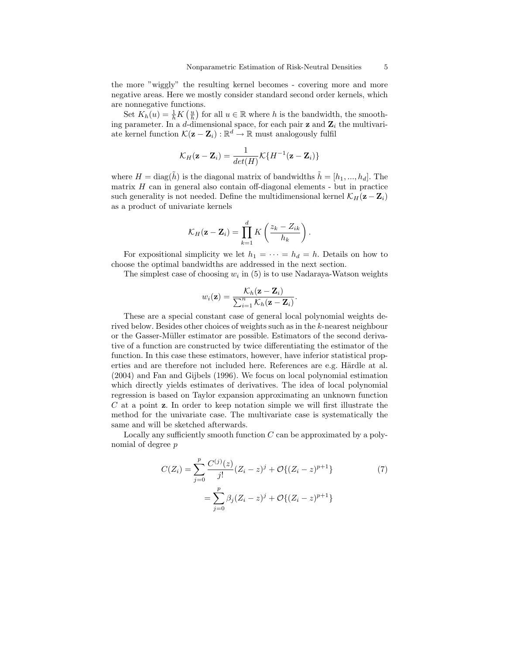the more "wiggly" the resulting kernel becomes - covering more and more negative areas. Here we mostly consider standard second order kernels, which are nonnegative functions.

Set  $K_h(u) = \frac{1}{h} K\left(\frac{u}{h}\right)$  for all  $u \in \mathbb{R}$  where h is the bandwidth, the smoothing parameter. In a d-dimensional space, for each pair  $z$  and  $z_i$  the multivariate kernel function  $\mathcal{K}(\mathbf{z} - \mathbf{Z}_i) : \mathbb{R}^d \to \mathbb{R}$  must analogously fulfil

$$
\mathcal{K}_H(\mathbf{z}-\mathbf{Z}_i)=\frac{1}{det(H)}\mathcal{K}\{H^{-1}(\mathbf{z}-\mathbf{Z}_i)\}
$$

where  $H = \text{diag}(\tilde{h})$  is the diagonal matrix of bandwidths  $\tilde{h} = [h_1, ..., h_d]$ . The matrix  $H$  can in general also contain off-diagonal elements - but in practice such generality is not needed. Define the multidimensional kernel  $\mathcal{K}_H(\mathbf{z} - \mathbf{Z}_i)$ as a product of univariate kernels

$$
\mathcal{K}_H(\mathbf{z}-\mathbf{Z}_i)=\prod_{k=1}^d K\left(\frac{z_k-Z_{ik}}{h_k}\right).
$$

For expositional simplicity we let  $h_1 = \cdots = h_d = h$ . Details on how to choose the optimal bandwidths are addressed in the next section.

The simplest case of choosing  $w_i$  in (5) is to use Nadaraya-Watson weights

$$
w_i(\mathbf{z}) = \frac{\mathcal{K}_h(\mathbf{z} - \mathbf{Z}_i)}{\sum_{i=1}^n \mathcal{K}_h(\mathbf{z} - \mathbf{Z}_i)}.
$$

These are a special constant case of general local polynomial weights derived below. Besides other choices of weights such as in the k-nearest neighbour or the Gasser-Müller estimator are possible. Estimators of the second derivative of a function are constructed by twice differentiating the estimator of the function. In this case these estimators, however, have inferior statistical properties and are therefore not included here. References are e.g. Härdle at al. (2004) and Fan and Gijbels (1996). We focus on local polynomial estimation which directly yields estimates of derivatives. The idea of local polynomial regression is based on Taylor expansion approximating an unknown function  $C$  at a point  $\bf{z}$ . In order to keep notation simple we will first illustrate the method for the univariate case. The multivariate case is systematically the same and will be sketched afterwards.

Locally any sufficiently smooth function  $C$  can be approximated by a polynomial of degree p

$$
C(Z_i) = \sum_{j=0}^{p} \frac{C^{(j)}(z)}{j!} (Z_i - z)^j + \mathcal{O}\{(Z_i - z)^{p+1}\}\
$$
  
= 
$$
\sum_{j=0}^{p} \beta_j (Z_i - z)^j + \mathcal{O}\{(Z_i - z)^{p+1}\}\
$$
 (7)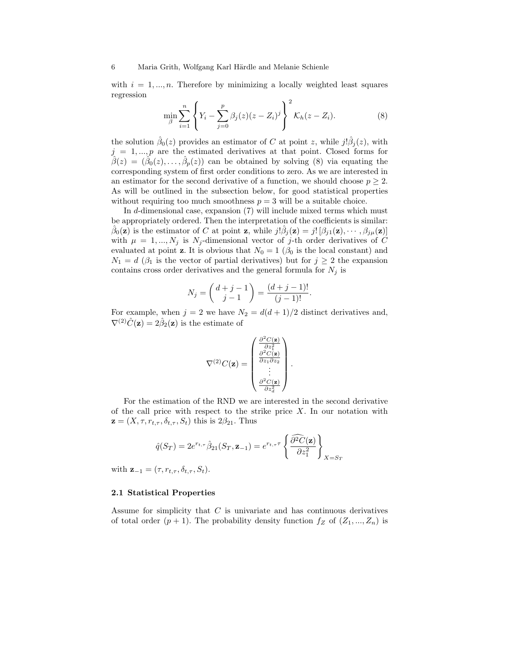with  $i = 1, ..., n$ . Therefore by minimizing a locally weighted least squares regression

$$
\min_{\beta} \sum_{i=1}^{n} \left\{ Y_i - \sum_{j=0}^{p} \beta_j(z)(z - Z_i)^j \right\}^2 \mathcal{K}_h(z - Z_i).
$$
 (8)

the solution  $\hat{\beta}_0(z)$  provides an estimator of C at point z, while  $j! \hat{\beta}_j(z)$ , with  $j = 1, ..., p$  are the estimated derivatives at that point. Closed forms for  $\hat{\beta}(z) = (\hat{\beta}_0(z), \dots, \hat{\beta}_p(z))$  can be obtained by solving (8) via equating the corresponding system of first order conditions to zero. As we are interested in an estimator for the second derivative of a function, we should choose  $p \geq 2$ . As will be outlined in the subsection below, for good statistical properties without requiring too much smoothness  $p = 3$  will be a suitable choice.

In d-dimensional case, expansion (7) will include mixed terms which must be appropriately ordered. Then the interpretation of the coefficients is similar:  $\hat{\beta}_0(\mathbf{z})$  is the estimator of C at point **z**, while  $j! \hat{\beta}_j(\mathbf{z}) = j! [\beta_{j1}(\mathbf{z}), \cdots, \beta_{j\mu}(\mathbf{z})]$ with  $\mu = 1, ..., N_j$  is N<sub>j</sub>-dimensional vector of j-th order derivatives of C evaluated at point **z**. It is obvious that  $N_0 = 1$  ( $\beta_0$  is the local constant) and  $N_1 = d$  ( $\beta_1$  is the vector of partial derivatives) but for  $j \geq 2$  the expansion contains cross order derivatives and the general formula for  $N_j$  is

$$
N_j = \binom{d+j-1}{j-1} = \frac{(d+j-1)!}{(j-1)!}.
$$

For example, when  $j = 2$  we have  $N_2 = d(d+1)/2$  distinct derivatives and,  $\nabla^{(2)}\hat{C}(\mathbf{z}) = 2\hat{\beta}_2(\mathbf{z})$  is the estimate of

$$
\nabla^{(2)}C(\mathbf{z}) = \begin{pmatrix} \frac{\partial^2 C(\mathbf{z})}{\partial z_1^2} \\ \frac{\partial^2 C(\mathbf{z})}{\partial z_1 \partial z_2} \\ \vdots \\ \frac{\partial^2 C(\mathbf{z})}{\partial z_d^2} \end{pmatrix}.
$$

For the estimation of the RND we are interested in the second derivative of the call price with respect to the strike price  $X$ . In our notation with  $z = (X, \tau, r_{t,\tau}, \delta_{t,\tau}, S_t)$  this is  $2\beta_{21}$ . Thus

$$
\hat{q}(S_T) = 2e^{r_{t,\tau}}\hat{\beta}_{21}(S_T, \mathbf{z}_{-1}) = e^{r_{t,\tau}\tau} \left\{ \frac{\partial^2 C(\mathbf{z})}{\partial z_1^2} \right\}_{X = S_T}
$$

with  $\mathbf{z}_{-1} = (\tau, r_{t,\tau}, \delta_{t,\tau}, S_t)$ .

## 2.1 Statistical Properties

Assume for simplicity that C is univariate and has continuous derivatives of total order  $(p + 1)$ . The probability density function  $f_Z$  of  $(Z_1, ..., Z_n)$  is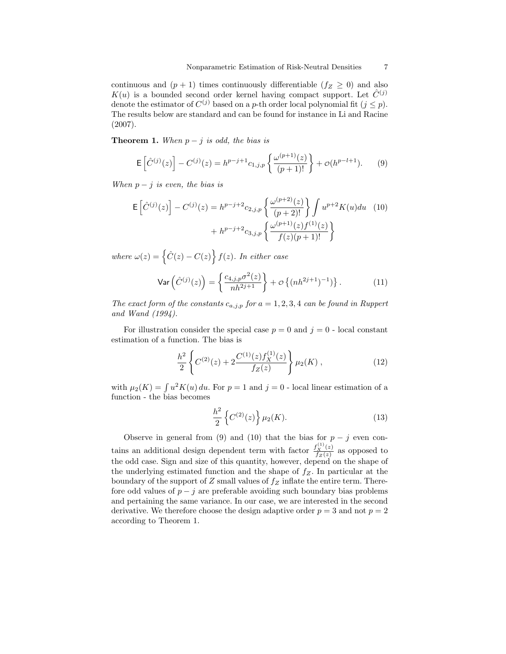continuous and  $(p + 1)$  times continuously differentiable  $(f_Z \geq 0)$  and also  $K(u)$  is a bounded second order kernel having compact support. Let  $\hat{C}^{(j)}$ denote the estimator of  $C^{(j)}$  based on a p-th order local polynomial fit  $(j \leq p)$ . The results below are standard and can be found for instance in Li and Racine (2007).

**Theorem 1.** When  $p - j$  is odd, the bias is

$$
\mathsf{E}\left[\hat{C}^{(j)}(z)\right] - C^{(j)}(z) = h^{p-j+1}c_{1,j,p}\left\{\frac{\omega^{(p+1)}(z)}{(p+1)!}\right\} + \mathcal{O}(h^{p-l+1}).\tag{9}
$$

When  $p - j$  is even, the bias is

$$
\mathsf{E}\left[\hat{C}^{(j)}(z)\right] - C^{(j)}(z) = h^{p-j+2}c_{2,j,p}\left\{\frac{\omega^{(p+2)}(z)}{(p+2)!}\right\}\int u^{p+2}K(u)du \quad (10)
$$

$$
+ h^{p-j+2}c_{3,j,p}\left\{\frac{\omega^{(p+1)}(z)f^{(1)}(z)}{f(z)(p+1)!}\right\}
$$

where  $\omega(z) = \left\{\hat{C}(z) - C(z)\right\} f(z)$ . In either case

$$
\text{Var}\left(\hat{C}^{(j)}(z)\right) = \left\{\frac{c_{4,j,p}\sigma^2(z)}{nh^{2j+1}}\right\} + \mathcal{O}\left\{(nh^{2j+1})^{-1}\right\}.\tag{11}
$$

The exact form of the constants  $c_{a,j,p}$  for  $a = 1, 2, 3, 4$  can be found in Ruppert and Wand (1994).

For illustration consider the special case  $p = 0$  and  $j = 0$  - local constant estimation of a function. The bias is

$$
\frac{h^2}{2} \left\{ C^{(2)}(z) + 2 \frac{C^{(1)}(z) f_X^{(1)}(z)}{f_Z(z)} \right\} \mu_2(K) , \qquad (12)
$$

with  $\mu_2(K) = \int u^2 K(u) du$ . For  $p = 1$  and  $j = 0$  - local linear estimation of a function - the bias becomes

$$
\frac{h^2}{2} \left\{ C^{(2)}(z) \right\} \mu_2(K). \tag{13}
$$

Observe in general from (9) and (10) that the bias for  $p - j$  even contains an additional design dependent term with factor  $\frac{f_X^{(1)}(z)}{f_Z(z)}$  as opposed to the odd case. Sign and size of this quantity, however, depend on the shape of the underlying estimated function and the shape of  $f_Z$ . In particular at the boundary of the support of  $Z$  small values of  $f_Z$  inflate the entire term. Therefore odd values of  $p - j$  are preferable avoiding such boundary bias problems and pertaining the same variance. In our case, we are interested in the second derivative. We therefore choose the design adaptive order  $p = 3$  and not  $p = 2$ according to Theorem 1.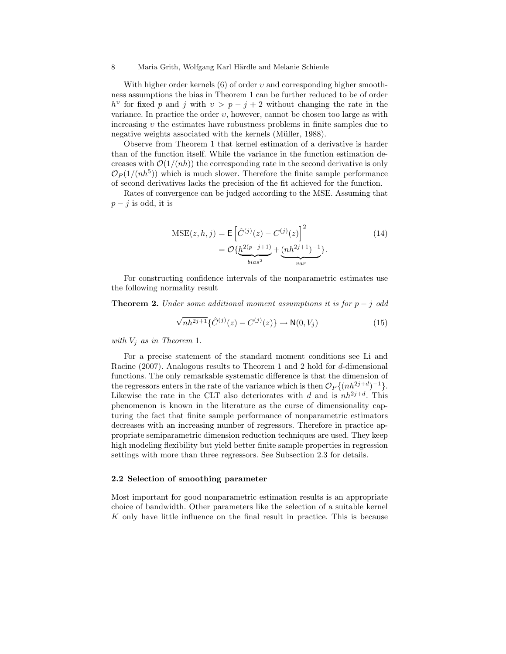With higher order kernels  $(6)$  of order  $v$  and corresponding higher smoothness assumptions the bias in Theorem 1 can be further reduced to be of order  $h^v$  for fixed p and j with  $v > p - j + 2$  without changing the rate in the variance. In practice the order  $v$ , however, cannot be chosen too large as with increasing  $v$  the estimates have robustness problems in finite samples due to negative weights associated with the kernels (Müller, 1988).

Observe from Theorem 1 that kernel estimation of a derivative is harder than of the function itself. While the variance in the function estimation decreases with  $\mathcal{O}(1/(nh))$  the corresponding rate in the second derivative is only  $\mathcal{O}_P(1/(nh^5))$  which is much slower. Therefore the finite sample performance of second derivatives lacks the precision of the fit achieved for the function.

Rates of convergence can be judged according to the MSE. Assuming that  $p - j$  is odd, it is

$$
MSE(z, h, j) = E \left[ \hat{C}^{(j)}(z) - C^{(j)}(z) \right]^2
$$
  
=  $\mathcal{O} \{ \underbrace{h^{2(p-j+1)}}_{bias^2} + \underbrace{(nh^{2j+1})^{-1}}_{var} \}.$  (14)

For constructing confidence intervals of the nonparametric estimates use the following normality result

**Theorem 2.** Under some additional moment assumptions it is for  $p - j$  odd

$$
\sqrt{nh^{2j+1}} \{\hat{C}^{(j)}(z) - C^{(j)}(z)\} \to \mathsf{N}(0, V_j)
$$
\n(15)

with  $V_i$  as in Theorem 1.

For a precise statement of the standard moment conditions see Li and Racine (2007). Analogous results to Theorem 1 and 2 hold for d-dimensional functions. The only remarkable systematic difference is that the dimension of the regressors enters in the rate of the variance which is then  $\mathcal{O}_P\{(nh^{2j+d})^{-1}\}.$ Likewise the rate in the CLT also deteriorates with d and is  $nh^{2j+d}$ . This phenomenon is known in the literature as the curse of dimensionality capturing the fact that finite sample performance of nonparametric estimators decreases with an increasing number of regressors. Therefore in practice appropriate semiparametric dimension reduction techniques are used. They keep high modeling flexibility but yield better finite sample properties in regression settings with more than three regressors. See Subsection 2.3 for details.

#### 2.2 Selection of smoothing parameter

Most important for good nonparametric estimation results is an appropriate choice of bandwidth. Other parameters like the selection of a suitable kernel K only have little influence on the final result in practice. This is because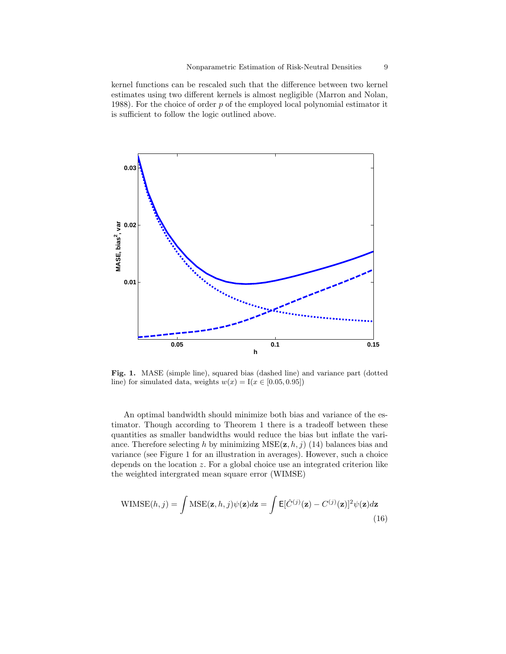kernel functions can be rescaled such that the difference between two kernel estimates using two different kernels is almost negligible (Marron and Nolan, 1988). For the choice of order  $p$  of the employed local polynomial estimator it is sufficient to follow the logic outlined above.



Fig. 1. MASE (simple line), squared bias (dashed line) and variance part (dotted line) for simulated data, weights  $w(x) = I(x \in [0.05, 0.95])$ 

An optimal bandwidth should minimize both bias and variance of the estimator. Though according to Theorem 1 there is a tradeoff between these quantities as smaller bandwidths would reduce the bias but inflate the variance. Therefore selecting h by minimizing  $MSE(\mathbf{z}, h, j)$  (14) balances bias and variance (see Figure 1 for an illustration in averages). However, such a choice depends on the location  $z$ . For a global choice use an integrated criterion like the weighted intergrated mean square error (WIMSE)

$$
\text{WIMSE}(h, j) = \int \text{MSE}(\mathbf{z}, h, j) \psi(\mathbf{z}) d\mathbf{z} = \int \mathsf{E}[\hat{C}^{(j)}(\mathbf{z}) - C^{(j)}(\mathbf{z})]^2 \psi(\mathbf{z}) d\mathbf{z}
$$
\n(16)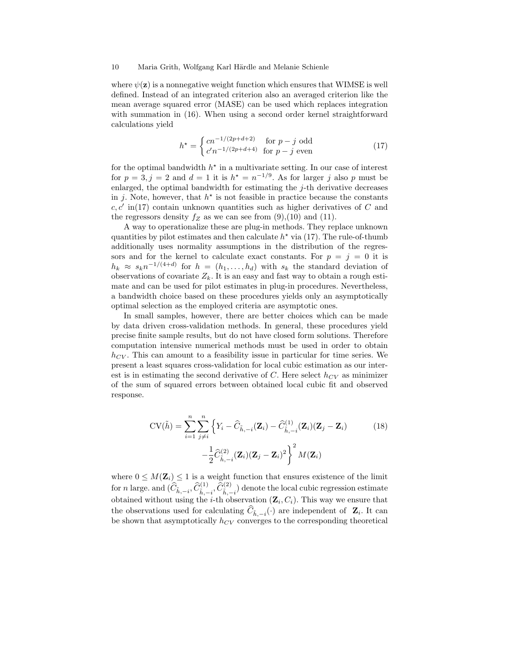where  $\psi(\mathbf{z})$  is a nonnegative weight function which ensures that WIMSE is well defined. Instead of an integrated criterion also an averaged criterion like the mean average squared error (MASE) can be used which replaces integration with summation in (16). When using a second order kernel straightforward calculations yield

$$
h^* = \begin{cases} cn^{-1/(2p+d+2)} & \text{for } p-j \text{ odd} \\ c'n^{-1/(2p+d+4)} & \text{for } p-j \text{ even} \end{cases}
$$
(17)

for the optimal bandwidth  $h^*$  in a multivariate setting. In our case of interest for  $p = 3, j = 2$  and  $d = 1$  it is  $h^* = n^{-1/9}$ . As for larger j also p must be enlarged, the optimal bandwidth for estimating the  $j$ -th derivative decreases in j. Note, however, that  $h^*$  is not feasible in practice because the constants  $c, c'$  in(17) contain unknown quantities such as higher derivatives of C and the regressors density  $f_Z$  as we can see from  $(9)$ , $(10)$  and  $(11)$ .

A way to operationalize these are plug-in methods. They replace unknown quantities by pilot estimates and then calculate  $h^*$  via (17). The rule-of-thumb additionally uses normality assumptions in the distribution of the regressors and for the kernel to calculate exact constants. For  $p = i = 0$  it is  $h_k \approx s_k n^{-1/(4+d)}$  for  $h = (h_1, \ldots, h_d)$  with  $s_k$  the standard deviation of observations of covariate  $Z_k$ . It is an easy and fast way to obtain a rough estimate and can be used for pilot estimates in plug-in procedures. Nevertheless, a bandwidth choice based on these procedures yields only an asymptotically optimal selection as the employed criteria are asymptotic ones.

In small samples, however, there are better choices which can be made by data driven cross-validation methods. In general, these procedures yield precise finite sample results, but do not have closed form solutions. Therefore computation intensive numerical methods must be used in order to obtain  $h_{CV}$ . This can amount to a feasibility issue in particular for time series. We present a least squares cross-validation for local cubic estimation as our interest is in estimating the second derivative of C. Here select  $h_{CV}$  as minimizer of the sum of squared errors between obtained local cubic fit and observed response.

$$
CV(\tilde{h}) = \sum_{i=1}^{n} \sum_{j \neq i}^{n} \left\{ Y_i - \widehat{C}_{\tilde{h},-i}(\mathbf{Z}_i) - \widehat{C}_{\tilde{h},-i}^{(1)}(\mathbf{Z}_i)(\mathbf{Z}_j - \mathbf{Z}_i) \right\}
$$
\n
$$
-\frac{1}{2} \widehat{C}_{\tilde{h},-i}^{(2)}(\mathbf{Z}_i)(\mathbf{Z}_j - \mathbf{Z}_i)^2 \right\}^2 M(\mathbf{Z}_i)
$$
\n(18)

where  $0 \leq M(\mathbf{Z}_i) \leq 1$  is a weight function that ensures existence of the limit for *n* large. and  $(\widehat{C}_{\tilde{h},-i}, \widehat{C}_{\tilde{h},-i}^{(1)}, \widehat{C}_{\tilde{h},-i}^{(2)})$  denote the local cubic regression estimate obtained without using the *i*-th observation  $(\mathbf{Z}_i, C_i)$ . This way we ensure that the observations used for calculating  $C_{\tilde{h}, -i}(\cdot)$  are independent of  $\mathbf{Z}_i$ . It can be shown that asymptotically  $h_{CV}$  converges to the corresponding theoretical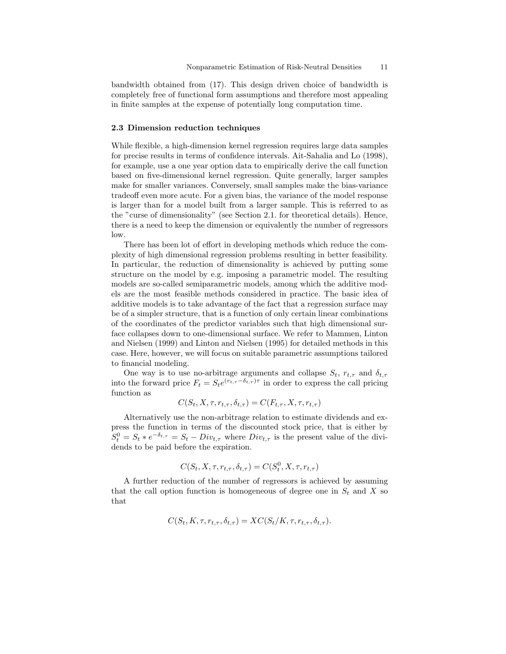bandwidth obtained from (17). This design driven choice of bandwidth is completely free of functional form assumptions and therefore most appealing in finite samples at the expense of potentially long computation time.

#### 2.3 Dimension reduction techniques

While flexible, a high-dimension kernel regression requires large data samples for precise results in terms of confidence intervals. Ait-Sahalia and Lo (1998), for example, use a one year option data to empirically derive the call function based on five-dimensional kernel regression. Quite generally, larger samples make for smaller variances. Conversely, small samples make the bias-variance tradeoff even more acute. For a given bias, the variance of the model response is larger than for a model built from a larger sample. This is referred to as the "curse of dimensionality" (see Section 2.1. for theoretical details). Hence, there is a need to keep the dimension or equivalently the number of regressors low.

There has been lot of effort in developing methods which reduce the complexity of high dimensional regression problems resulting in better feasibility. In particular, the reduction of dimensionality is achieved by putting some structure on the model by e.g. imposing a parametric model. The resulting models are so-called semiparametric models, among which the additive models are the most feasible methods considered in practice. The basic idea of additive models is to take advantage of the fact that a regression surface may be of a simpler structure, that is a function of only certain linear combinations of the coordinates of the predictor variables such that high dimensional surface collapses down to one-dimensional surface. We refer to Mammen, Linton and Nielsen (1999) and Linton and Nielsen (1995) for detailed methods in this case. Here, however, we will focus on suitable parametric assumptions tailored to financial modeling.

One way is to use no-arbitrage arguments and collapse  $S_t$ ,  $r_{t,\tau}$  and  $\delta_{t,\tau}$ into the forward price  $F_t = S_t e^{(r_{t,\tau} - \delta_{t,\tau})\tau}$  in order to express the call pricing function as

$$
C(S_t, X, \tau, r_{t,\tau}, \delta_{t,\tau}) = C(F_{t,\tau}, X, \tau, r_{t,\tau})
$$

Alternatively use the non-arbitrage relation to estimate dividends and express the function in terms of the discounted stock price, that is either by  $S_t^0 = S_t * e^{-\delta_{t,\tau}} = S_t - Div_{t,\tau}$  where  $Div_{t,\tau}$  is the present value of the dividends to be paid before the expiration.

$$
C(S_t, X, \tau, r_{t,\tau}, \delta_{t,\tau}) = C(S_t^0, X, \tau, r_{t,\tau})
$$

A further reduction of the number of regressors is achieved by assuming that the call option function is homogeneous of degree one in  $S_t$  and X so that

$$
C(S_t, K, \tau, r_{t,\tau}, \delta_{t,\tau}) = XC(S_t/K, \tau, r_{t,\tau}, \delta_{t,\tau}).
$$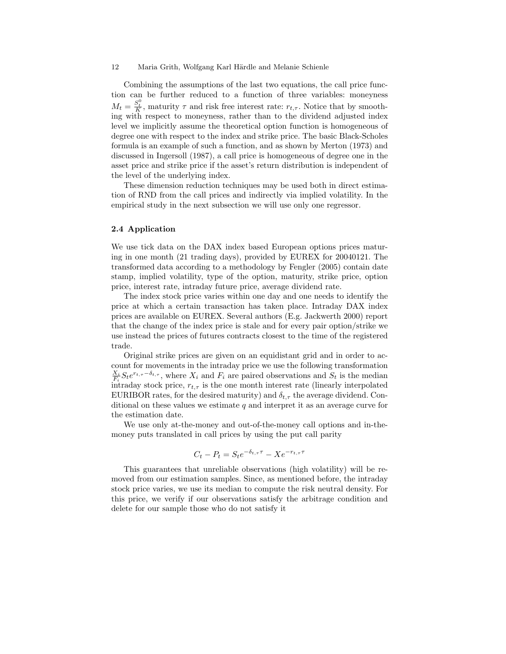Combining the assumptions of the last two equations, the call price function can be further reduced to a function of three variables: moneyness  $M_t = \frac{S_t^0}{K}$ , maturity  $\tau$  and risk free interest rate:  $r_{t,\tau}$ . Notice that by smoothing with respect to moneyness, rather than to the dividend adjusted index level we implicitly assume the theoretical option function is homogeneous of degree one with respect to the index and strike price. The basic Black-Scholes formula is an example of such a function, and as shown by Merton (1973) and discussed in Ingersoll (1987), a call price is homogeneous of degree one in the asset price and strike price if the asset's return distribution is independent of the level of the underlying index.

These dimension reduction techniques may be used both in direct estimation of RND from the call prices and indirectly via implied volatility. In the empirical study in the next subsection we will use only one regressor.

# 2.4 Application

We use tick data on the DAX index based European options prices maturing in one month (21 trading days), provided by EUREX for 20040121. The transformed data according to a methodology by Fengler (2005) contain date stamp, implied volatility, type of the option, maturity, strike price, option price, interest rate, intraday future price, average dividend rate.

The index stock price varies within one day and one needs to identify the price at which a certain transaction has taken place. Intraday DAX index prices are available on EUREX. Several authors (E.g. Jackwerth 2000) report that the change of the index price is stale and for every pair option/strike we use instead the prices of futures contracts closest to the time of the registered trade.

Original strike prices are given on an equidistant grid and in order to account for movements in the intraday price we use the following transformation  $\frac{X_i}{F_i} S_t e^{r_{t,\tau}-\delta_{t,\tau}}$ , where  $X_i$  and  $F_i$  are paired observations and  $S_t$  is the median intraday stock price,  $r_{t,\tau}$  is the one month interest rate (linearly interpolated EURIBOR rates, for the desired maturity) and  $\delta_{t,\tau}$  the average dividend. Conditional on these values we estimate  $q$  and interpret it as an average curve for the estimation date.

We use only at-the-money and out-of-the-money call options and in-themoney puts translated in call prices by using the put call parity

$$
C_t - P_t = S_t e^{-\delta_{t,\tau}\tau} - X e^{-r_{t,\tau}\tau}
$$

This guarantees that unreliable observations (high volatility) will be removed from our estimation samples. Since, as mentioned before, the intraday stock price varies, we use its median to compute the risk neutral density. For this price, we verify if our observations satisfy the arbitrage condition and delete for our sample those who do not satisfy it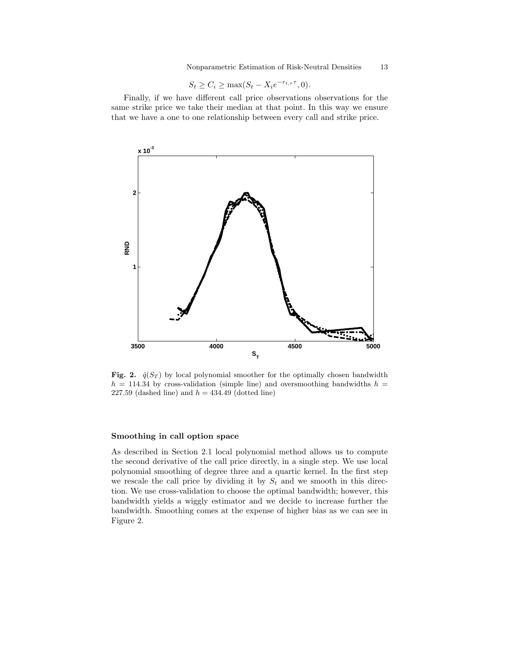Nonparametric Estimation of Risk-Neutral Densities 13

$$
S_t \ge C_i \ge \max(S_t - X_i e^{-r_{t,\tau}\tau}, 0).
$$

Finally, if we have different call price observations observations for the same strike price we take their median at that point. In this way we ensure that we have a one to one relationship between every call and strike price.



Fig. 2.  $\hat{q}(S_T)$  by local polynomial smoother for the optimally chosen bandwidth  $h = 114.34$  by cross-validation (simple line) and oversmoothing bandwidths  $h =$ 227.59 (dashed line) and  $h = 434.49$  (dotted line)

## Smoothing in call option space

As described in Section 2.1 local polynomial method allows us to compute the second derivative of the call price directly, in a single step. We use local polynomial smoothing of degree three and a quartic kernel. In the first step we rescale the call price by dividing it by  $S_t$  and we smooth in this direction. We use cross-validation to choose the optimal bandwidth; however, this bandwidth yields a wiggly estimator and we decide to increase further the bandwidth. Smoothing comes at the expense of higher bias as we can see in Figure 2.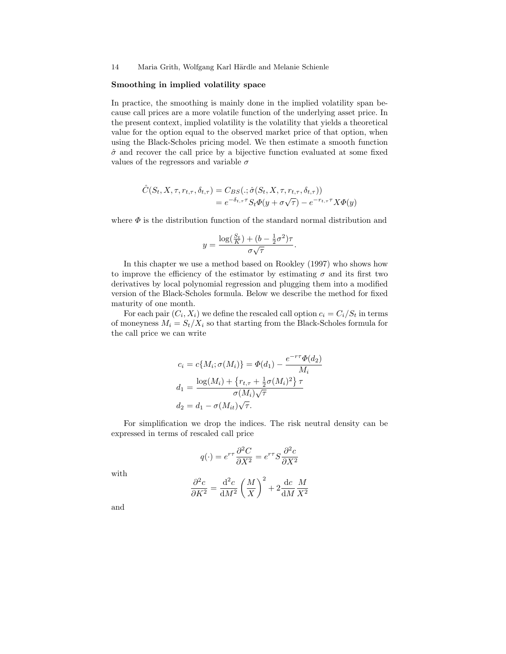#### Smoothing in implied volatility space

In practice, the smoothing is mainly done in the implied volatility span because call prices are a more volatile function of the underlying asset price. In the present context, implied volatility is the volatility that yields a theoretical value for the option equal to the observed market price of that option, when using the Black-Scholes pricing model. We then estimate a smooth function  $\hat{\sigma}$  and recover the call price by a bijective function evaluated at some fixed values of the regressors and variable  $\sigma$ 

$$
\hat{C}(S_t, X, \tau, r_{t, \tau}, \delta_{t, \tau}) = C_{BS}(.; \hat{\sigma}(S_t, X, \tau, r_{t, \tau}, \delta_{t, \tau}))
$$
  
=  $e^{-\delta_{t, \tau} \tau} S_t \Phi(y + \sigma \sqrt{\tau}) - e^{-r_{t, \tau} \tau} X \Phi(y)$ 

where  $\Phi$  is the distribution function of the standard normal distribution and

$$
y = \frac{\log(\frac{S_t}{K}) + (b - \frac{1}{2}\sigma^2)\tau}{\sigma\sqrt{\tau}}.
$$

In this chapter we use a method based on Rookley (1997) who shows how to improve the efficiency of the estimator by estimating  $\sigma$  and its first two derivatives by local polynomial regression and plugging them into a modified version of the Black-Scholes formula. Below we describe the method for fixed maturity of one month.

For each pair  $(C_i, X_i)$  we define the rescaled call option  $c_i = C_i/S_t$  in terms of moneyness  $M_i = S_t/X_i$  so that starting from the Black-Scholes formula for the call price we can write

$$
c_i = c\{M_i; \sigma(M_i)\} = \Phi(d_1) - \frac{e^{-r\tau}\Phi(d_2)}{M_i}
$$

$$
d_1 = \frac{\log(M_i) + \{r_{t,\tau} + \frac{1}{2}\sigma(M_i)^2\} \tau}{\sigma(M_i)\sqrt{\tau}}
$$

$$
d_2 = d_1 - \sigma(M_{it})\sqrt{\tau}.
$$

For simplification we drop the indices. The risk neutral density can be expressed in terms of rescaled call price

$$
q(\cdot) = e^{r\tau} \frac{\partial^2 C}{\partial X^2} = e^{r\tau} S \frac{\partial^2 c}{\partial X^2}
$$

with

$$
\frac{\partial^2 c}{\partial K^2} = \frac{\mathrm{d}^2 c}{\mathrm{d}M^2} \left(\frac{M}{X}\right)^2 + 2\frac{\mathrm{d}c}{\mathrm{d}M} \frac{M}{X^2}
$$

and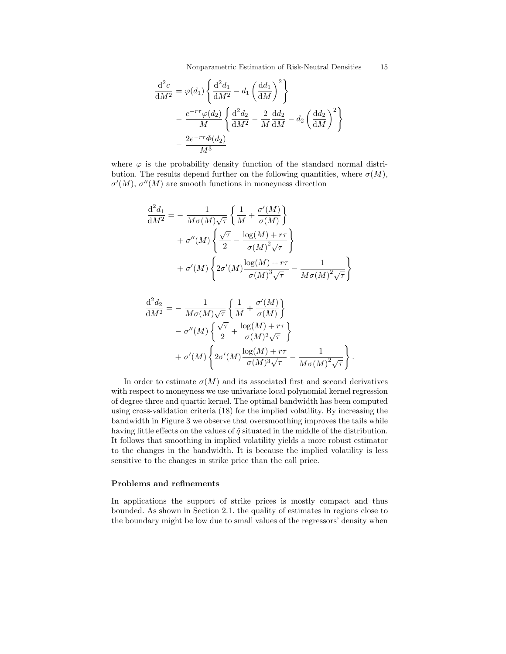Nonparametric Estimation of Risk-Neutral Densities 15

$$
\frac{\mathrm{d}^2 c}{\mathrm{d}M^2} = \varphi(d_1) \left\{ \frac{\mathrm{d}^2 d_1}{\mathrm{d}M^2} - d_1 \left( \frac{\mathrm{d}d_1}{\mathrm{d}M} \right)^2 \right\}
$$

$$
- \frac{e^{-r\tau} \varphi(d_2)}{M} \left\{ \frac{\mathrm{d}^2 d_2}{\mathrm{d}M^2} - \frac{2}{M} \frac{\mathrm{d}d_2}{\mathrm{d}M} - d_2 \left( \frac{\mathrm{d}d_2}{\mathrm{d}M} \right)^2 \right\}
$$

$$
- \frac{2e^{-r\tau} \Phi(d_2)}{M^3}
$$

where  $\varphi$  is the probability density function of the standard normal distribution. The results depend further on the following quantities, where  $\sigma(M)$ ,  $\sigma'(M)$ ,  $\sigma''(M)$  are smooth functions in moneyness direction

$$
\frac{d^2 d_1}{dM^2} = -\frac{1}{M\sigma(M)\sqrt{\tau}} \left\{ \frac{1}{M} + \frac{\sigma'(M)}{\sigma(M)} \right\} \n+ \sigma''(M) \left\{ \frac{\sqrt{\tau}}{2} - \frac{\log(M) + r\tau}{\sigma(M)^2 \sqrt{\tau}} \right\} \n+ \sigma'(M) \left\{ 2\sigma'(M) \frac{\log(M) + r\tau}{\sigma(M)^3 \sqrt{\tau}} - \frac{1}{M\sigma(M)^2 \sqrt{\tau}} \right\}
$$

$$
\frac{\mathrm{d}^2 d_2}{\mathrm{d}M^2} = -\frac{1}{M\sigma(M)\sqrt{\tau}} \left\{ \frac{1}{M} + \frac{\sigma'(M)}{\sigma(M)} \right\} \n- \sigma''(M) \left\{ \frac{\sqrt{\tau}}{2} + \frac{\log(M) + r\tau}{\sigma(M)^2 \sqrt{\tau}} \right\} \n+ \sigma'(M) \left\{ 2\sigma'(M) \frac{\log(M) + r\tau}{\sigma(M)^3 \sqrt{\tau}} - \frac{1}{M\sigma(M)^2 \sqrt{\tau}} \right\}.
$$

In order to estimate  $\sigma(M)$  and its associated first and second derivatives with respect to moneyness we use univariate local polynomial kernel regression of degree three and quartic kernel. The optimal bandwidth has been computed using cross-validation criteria (18) for the implied volatility. By increasing the bandwidth in Figure 3 we observe that oversmoothing improves the tails while having little effects on the values of  $\hat{q}$  situated in the middle of the distribution. It follows that smoothing in implied volatility yields a more robust estimator to the changes in the bandwidth. It is because the implied volatility is less sensitive to the changes in strike price than the call price.

## Problems and refinements

In applications the support of strike prices is mostly compact and thus bounded. As shown in Section 2.1. the quality of estimates in regions close to the boundary might be low due to small values of the regressors' density when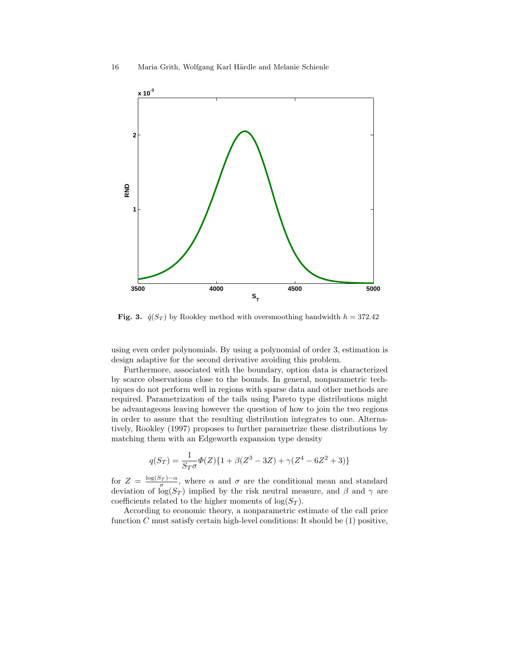

Fig. 3.  $\hat{q}(S_T)$  by Rookley method with oversmoothing bandwidth  $h = 372.42$ 

using even order polynomials. By using a polynomial of order 3, estimation is design adaptive for the second derivative avoiding this problem.

Furthermore, associated with the boundary, option data is characterized by scarce observations close to the bounds. In general, nonparametric techniques do not perform well in regions with sparse data and other methods are required. Parametrization of the tails using Pareto type distributions might be advantageous leaving however the question of how to join the two regions in order to assure that the resulting distribution integrates to one. Alternatively, Rookley (1997) proposes to further parametrize these distributions by matching them with an Edgeworth expansion type density

$$
q(S_T) = \frac{1}{S_T \sigma} \Phi(Z) \{ 1 + \beta (Z^3 - 3Z) + \gamma (Z^4 - 6Z^2 + 3) \}
$$

for  $Z = \frac{\log(S_T) - \alpha}{\sigma}$ , where  $\alpha$  and  $\sigma$  are the conditional mean and standard deviation of  $\log(S_T)$  implied by the risk neutral measure, and  $\beta$  and  $\gamma$  are coefficients related to the higher moments of  $log(S_T)$ .

According to economic theory, a nonparametric estimate of the call price function C must satisfy certain high-level conditions: It should be  $(1)$  positive,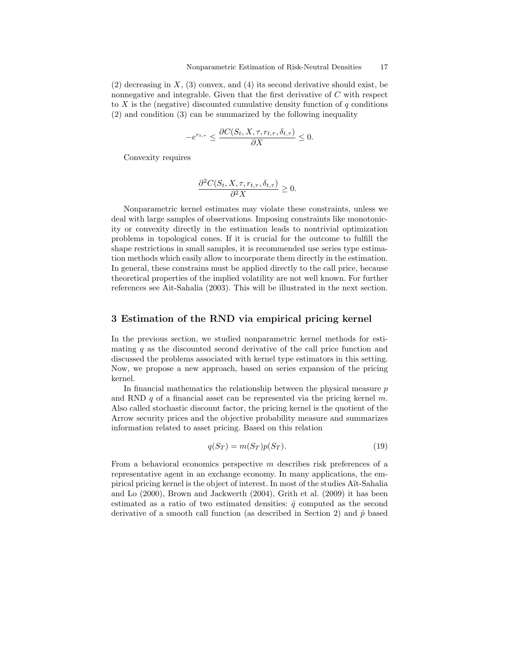$(2)$  decreasing in X,  $(3)$  convex, and  $(4)$  its second derivative should exist, be nonnegative and integrable. Given that the first derivative of  $C$  with respect to X is the (negative) discounted cumulative density function of  $q$  conditions (2) and condition (3) can be summarized by the following inequality

$$
-e^{r_{t,\tau}} \le \frac{\partial C(S_t, X, \tau, r_{t,\tau}, \delta_{t,\tau})}{\partial X} \le 0.
$$

Convexity requires

$$
\frac{\partial^2 C(S_t, X, \tau, r_{t,\tau}, \delta_{t,\tau})}{\partial^2 X} \ge 0.
$$

Nonparametric kernel estimates may violate these constraints, unless we deal with large samples of observations. Imposing constraints like monotonicity or convexity directly in the estimation leads to nontrivial optimization problems in topological cones. If it is crucial for the outcome to fulfill the shape restrictions in small samples, it is recommended use series type estimation methods which easily allow to incorporate them directly in the estimation. In general, these constrains must be applied directly to the call price, because theoretical properties of the implied volatility are not well known. For further references see Ait-Sahalia (2003). This will be illustrated in the next section.

# 3 Estimation of the RND via empirical pricing kernel

In the previous section, we studied nonparametric kernel methods for estimating  $q$  as the discounted second derivative of the call price function and discussed the problems associated with kernel type estimators in this setting. Now, we propose a new approach, based on series expansion of the pricing kernel.

In financial mathematics the relationship between the physical measure  $p$ and RND  $q$  of a financial asset can be represented via the pricing kernel  $m$ . Also called stochastic discount factor, the pricing kernel is the quotient of the Arrow security prices and the objective probability measure and summarizes information related to asset pricing. Based on this relation

$$
q(S_T) = m(S_T)p(S_T). \tag{19}
$$

From a behavioral economics perspective m describes risk preferences of a representative agent in an exchange economy. In many applications, the empirical pricing kernel is the object of interest. In most of the studies A¨ıt-Sahalia and Lo (2000), Brown and Jackwerth (2004), Grith et al. (2009) it has been estimated as a ratio of two estimated densities:  $\hat{q}$  computed as the second derivative of a smooth call function (as described in Section 2) and  $\hat{p}$  based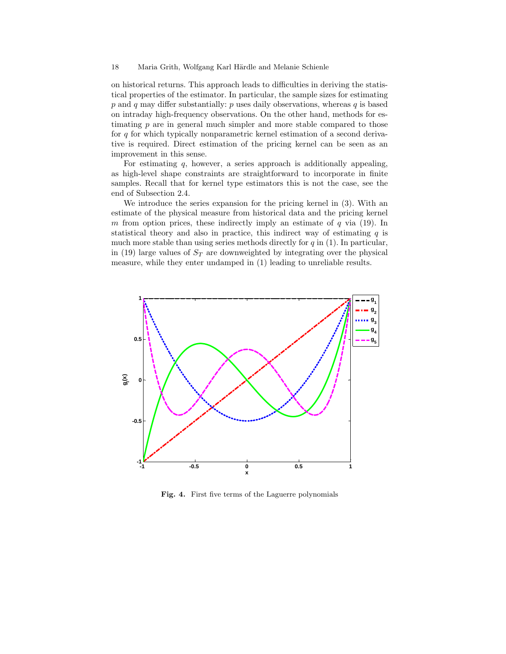on historical returns. This approach leads to difficulties in deriving the statistical properties of the estimator. In particular, the sample sizes for estimating  $p$  and  $q$  may differ substantially:  $p$  uses daily observations, whereas  $q$  is based on intraday high-frequency observations. On the other hand, methods for estimating  $p$  are in general much simpler and more stable compared to those for  $q$  for which typically nonparametric kernel estimation of a second derivative is required. Direct estimation of the pricing kernel can be seen as an improvement in this sense.

For estimating  $q$ , however, a series approach is additionally appealing, as high-level shape constraints are straightforward to incorporate in finite samples. Recall that for kernel type estimators this is not the case, see the end of Subsection 2.4.

We introduce the series expansion for the pricing kernel in (3). With an estimate of the physical measure from historical data and the pricing kernel m from option prices, these indirectly imply an estimate of  $q$  via (19). In statistical theory and also in practice, this indirect way of estimating  $q$  is much more stable than using series methods directly for  $q$  in (1). In particular, in (19) large values of  $S_T$  are downweighted by integrating over the physical measure, while they enter undamped in (1) leading to unreliable results.



Fig. 4. First five terms of the Laguerre polynomials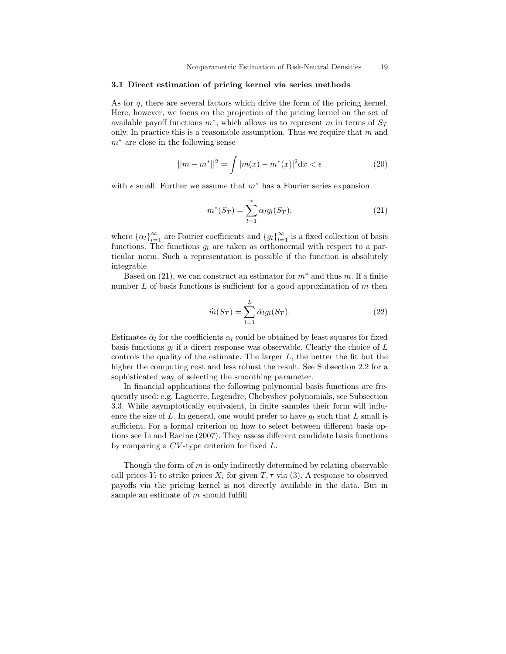## 3.1 Direct estimation of pricing kernel via series methods

As for q, there are several factors which drive the form of the pricing kernel. Here, however, we focus on the projection of the pricing kernel on the set of available payoff functions  $m^*$ , which allows us to represent m in terms of  $S_T$ only. In practice this is a reasonable assumption. Thus we require that  $m$  and  $m<sup>*</sup>$  are close in the following sense

$$
||m - m^*||^2 = \int |m(x) - m^*(x)|^2 dx < \epsilon
$$
 (20)

with  $\epsilon$  small. Further we assume that  $m^*$  has a Fourier series expansion

$$
m^*(S_T) = \sum_{l=1}^{\infty} \alpha_l g_l(S_T), \qquad (21)
$$

where  $\{\alpha_l\}_{l=1}^{\infty}$  are Fourier coefficients and  $\{g_l\}_{l=1}^{\infty}$  is a fixed collection of basis functions. The functions  $q_l$  are taken as orthonormal with respect to a particular norm. Such a representation is possible if the function is absolutely integrable.

Based on  $(21)$ , we can construct an estimator for  $m^*$  and thus m. If a finite number  $L$  of basis functions is sufficient for a good approximation of  $m$  then

$$
\widehat{m}(S_T) = \sum_{l=1}^{L} \widehat{\alpha}_l g_l(S_T). \tag{22}
$$

Estimates  $\hat{\alpha}_l$  for the coefficients  $\alpha_l$  could be obtained by least squares for fixed basis functions  $g_l$  if a direct response was observable. Clearly the choice of  $L$ controls the quality of the estimate. The larger  $L$ , the better the fit but the higher the computing cost and less robust the result. See Subsection 2.2 for a sophisticated way of selecting the smoothing parameter.

In financial applications the following polynomial basis functions are frequently used: e.g. Laguerre, Legendre, Chebyshev polynomials, see Subsection 3.3. While asymptotically equivalent, in finite samples their form will influence the size of L. In general, one would prefer to have  $q_l$  such that L small is sufficient. For a formal criterion on how to select between different basis options see Li and Racine (2007). They assess different candidate basis functions by comparing a CV -type criterion for fixed L.

Though the form of  $m$  is only indirectly determined by relating observable call prices  $Y_i$  to strike prices  $X_i$  for given  $T, \tau$  via (3). A response to observed payoffs via the pricing kernel is not directly available in the data. But in sample an estimate of  $m$  should fulfill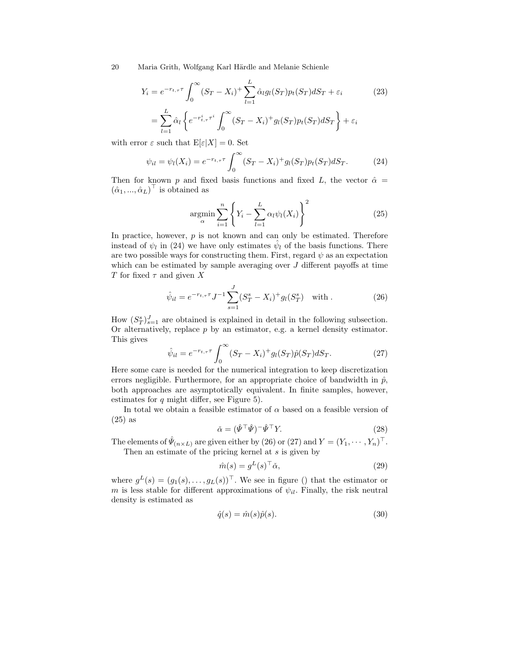$$
Y_i = e^{-r_{t,\tau}\tau} \int_0^\infty (S_T - X_i)^+ \sum_{l=1}^L \hat{\alpha}_l g_l(S_T) p_t(S_T) dS_T + \varepsilon_i
$$
(23)  

$$
= \sum_{l=1}^L \hat{\alpha}_l \left\{ e^{-r_{t,\tau}^i \tau^i} \int_0^\infty (S_T - X_i)^+ g_l(S_T) p_t(S_T) dS_T \right\} + \varepsilon_i
$$

with error  $\varepsilon$  such that  $E[\varepsilon|X] = 0$ . Set

$$
\psi_{il} = \psi_l(X_i) = e^{-r_{t,\tau}\tau} \int_0^\infty (S_T - X_i)^+ g_l(S_T) p_t(S_T) dS_T.
$$
 (24)

Then for known p and fixed basis functions and fixed L, the vector  $\hat{\alpha}$  =  $(\hat{\alpha}_1, ..., \hat{\alpha}_L)^\top$  is obtained as

$$
\underset{\alpha}{\operatorname{argmin}} \sum_{i=1}^{n} \left\{ Y_i - \sum_{l=1}^{L} \alpha_l \psi_l(X_i) \right\}^2 \tag{25}
$$

In practice, however,  $p$  is not known and can only be estimated. Therefore instead of  $\psi_l$  in (24) we have only estimates  $\hat{\psi}_l$  of the basis functions. There are two possible ways for constructing them. First, regard  $\psi$  as an expectation which can be estimated by sample averaging over  $J$  different payoffs at time T for fixed  $\tau$  and given X

$$
\hat{\psi}_{il} = e^{-r_{t,\tau}\tau} J^{-1} \sum_{s=1}^{J} (S_T^s - X_i)^+ g_l(S_T^s) \quad \text{with} \tag{26}
$$

How  $(S_T^s)_{s=1}^J$  are obtained is explained in detail in the following subsection. Or alternatively, replace  $p$  by an estimator, e.g. a kernel density estimator. This gives

$$
\hat{\psi}_{il} = e^{-r_{t,\tau}\tau} \int_0^\infty (S_T - X_i)^+ g_l(S_T) \hat{p}(S_T) dS_T.
$$
 (27)

Here some care is needed for the numerical integration to keep discretization errors negligible. Furthermore, for an appropriate choice of bandwidth in  $\hat{p}$ , both approaches are asymptotically equivalent. In finite samples, however, estimates for  $q$  might differ, see Figure 5).

In total we obtain a feasible estimator of  $\alpha$  based on a feasible version of (25) as

$$
\check{\alpha} = (\hat{\Psi}^\top \hat{\Psi})^\top \hat{\Psi}^\top Y. \tag{28}
$$

The elements of  $\hat{\Psi}_{(n\times L)}$  are given either by (26) or (27) and  $Y=(Y_1,\cdots,Y_n)^\top$ . Then an estimate of the pricing kernel at  $s$  is given by

$$
\hat{m}(s) = g^L(s)^\top \check{\alpha},\tag{29}
$$

where  $g^L(s) = (g_1(s), \ldots, g_L(s))^T$ . We see in figure () that the estimator or m is less stable for different approximations of  $\psi_{il}$ . Finally, the risk neutral density is estimated as

$$
\hat{q}(s) = \hat{m}(s)\hat{p}(s). \tag{30}
$$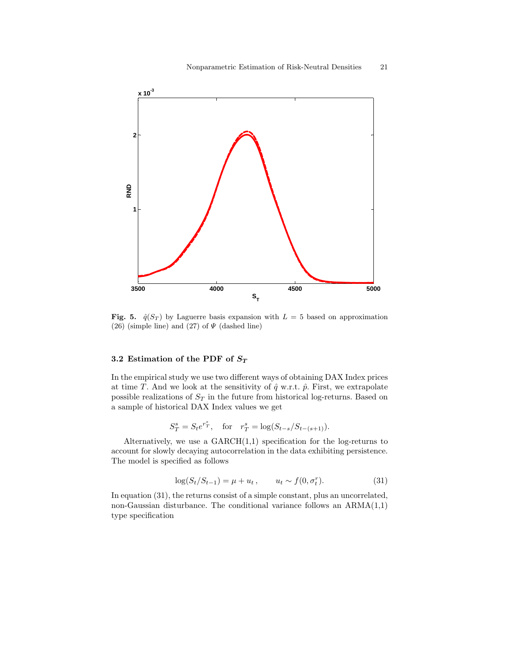

Fig. 5.  $\hat{q}(S_T)$  by Laguerre basis expansion with  $L = 5$  based on approximation (26) (simple line) and (27) of  $\Psi$  (dashed line)

# 3.2 Estimation of the PDF of  $S_T$

In the empirical study we use two different ways of obtaining DAX Index prices at time T. And we look at the sensitivity of  $\hat{q}$  w.r.t.  $\hat{p}$ . First, we extrapolate possible realizations of  $S_T$  in the future from historical log-returns. Based on a sample of historical DAX Index values we get

$$
S_T^s = S_t e^{r_T^s}
$$
, for  $r_T^s = \log(S_{t-s}/S_{t-(s+1)})$ .

Alternatively, we use a  $GARCH(1,1)$  specification for the log-returns to account for slowly decaying autocorrelation in the data exhibiting persistence. The model is specified as follows

$$
\log(S_t/S_{t-1}) = \mu + u_t, \qquad u_t \sim f(0, \sigma_t^r). \tag{31}
$$

In equation (31), the returns consist of a simple constant, plus an uncorrelated, non-Gaussian disturbance. The conditional variance follows an  $ARMA(1,1)$ type specification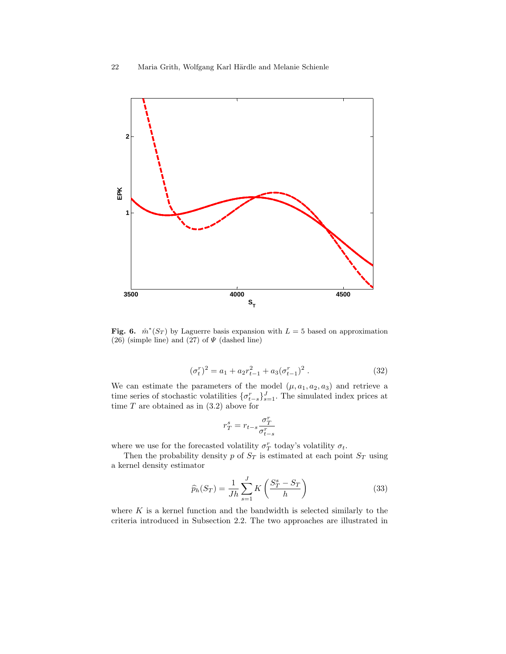

Fig. 6.  $\hat{m}^*(S_T)$  by Laguerre basis expansion with  $L=5$  based on approximation (26) (simple line) and (27) of  $\Psi$  (dashed line)

$$
(\sigma_t^r)^2 = a_1 + a_2 r_{t-1}^2 + a_3 (\sigma_{t-1}^r)^2.
$$
 (32)

We can estimate the parameters of the model  $(\mu, a_1, a_2, a_3)$  and retrieve a time series of stochastic volatilities  $\{\sigma_{t-s}^r\}_{s=1}^J$ . The simulated index prices at time  $T$  are obtained as in  $(3.2)$  above for

$$
r_T^s = r_{t-s} \frac{\sigma_T^r}{\sigma_{t-s}^r}
$$

where we use for the forecasted volatility  $\sigma_T^r$  today's volatility  $\sigma_t$ .

Then the probability density p of  $S_T$  is estimated at each point  $S_T$  using a kernel density estimator

$$
\widehat{p}_h(S_T) = \frac{1}{Jh} \sum_{s=1}^{J} K\left(\frac{S_T^s - S_T}{h}\right)
$$
\n(33)

where  $K$  is a kernel function and the bandwidth is selected similarly to the criteria introduced in Subsection 2.2. The two approaches are illustrated in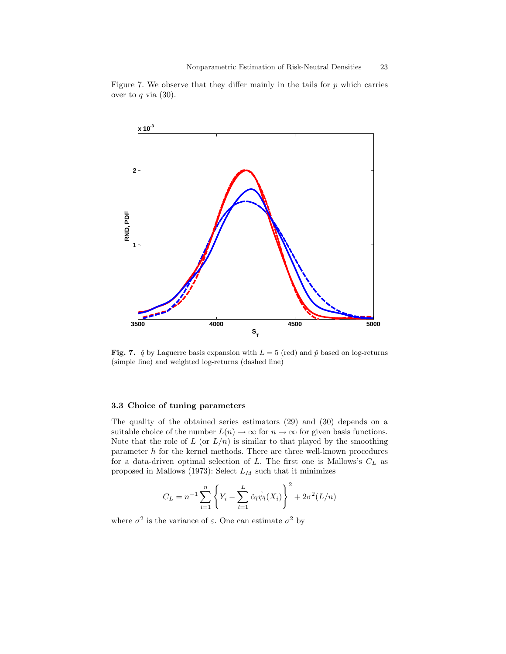

Figure 7. We observe that they differ mainly in the tails for  $p$  which carries over to  $q$  via  $(30)$ .

Fig. 7.  $\hat{q}$  by Laguerre basis expansion with  $L = 5$  (red) and  $\hat{p}$  based on log-returns (simple line) and weighted log-returns (dashed line)

#### 3.3 Choice of tuning parameters

The quality of the obtained series estimators (29) and (30) depends on a suitable choice of the number  $L(n) \to \infty$  for  $n \to \infty$  for given basis functions. Note that the role of  $L$  (or  $L/n$ ) is similar to that played by the smoothing parameter  $h$  for the kernel methods. There are three well-known procedures for a data-driven optimal selection of  $L$ . The first one is Mallows's  $C_L$  as proposed in Mallows (1973): Select  $L_M$  such that it minimizes

$$
C_L = n^{-1} \sum_{i=1}^n \left\{ Y_i - \sum_{l=1}^L \check{\alpha}_l \hat{\psi}_l(X_i) \right\}^2 + 2\sigma^2 (L/n)
$$

where  $\sigma^2$  is the variance of  $\varepsilon$ . One can estimate  $\sigma^2$  by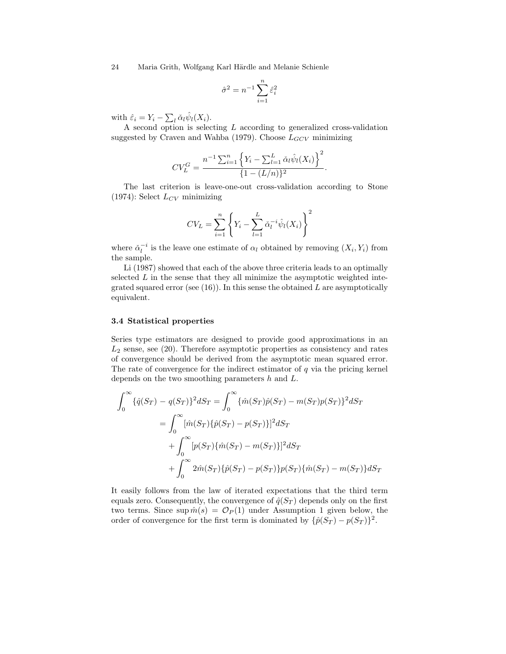$$
\hat{\sigma}^2 = n^{-1} \sum_{i=1}^n \hat{\varepsilon}_i^2
$$

with  $\hat{\varepsilon}_i = Y_i - \sum_l \check{\alpha}_l \hat{\psi}_l(X_i)$ .

A second option is selecting L according to generalized cross-validation suggested by Craven and Wahba (1979). Choose  $L_{GCV}$  minimizing

$$
CV_L^G = \frac{n^{-1} \sum_{i=1}^n \left\{ Y_i - \sum_{l=1}^L \check{\alpha}_l \hat{\psi}_l(X_i) \right\}^2}{\{1 - (L/n)\}^2}.
$$

The last criterion is leave-one-out cross-validation according to Stone (1974): Select  $L_{CV}$  minimizing

$$
CV_L = \sum_{i=1}^{n} \left\{ Y_i - \sum_{l=1}^{L} \check{\alpha}_l^{-i} \hat{\psi}_l(X_i) \right\}^2
$$

where  $\check{\alpha}_l^{-i}$  is the leave one estimate of  $\alpha_l$  obtained by removing  $(X_i, Y_i)$  from the sample.

Li (1987) showed that each of the above three criteria leads to an optimally selected  $L$  in the sense that they all minimize the asymptotic weighted integrated squared error (see  $(16)$ ). In this sense the obtained L are asymptotically equivalent.

#### 3.4 Statistical properties

Series type estimators are designed to provide good approximations in an  $L_2$  sense, see (20). Therefore asymptotic properties as consistency and rates of convergence should be derived from the asymptotic mean squared error. The rate of convergence for the indirect estimator of  $q$  via the pricing kernel depends on the two smoothing parameters h and L.

$$
\int_0^\infty {\{\hat{q}(S_T) - q(S_T)\}^2 dS_T} = \int_0^\infty {\{\hat{m}(S_T)\hat{p}(S_T) - m(S_T)p(S_T)\}^2 dS_T}
$$
  
\n
$$
= \int_0^\infty {\left[\hat{m}(S_T)\{\hat{p}(S_T) - p(S_T)\}\right]^2 dS_T}
$$
  
\n
$$
+ \int_0^\infty {\left[p(S_T)\{\hat{m}(S_T) - m(S_T)\}\right]^2 dS_T}
$$
  
\n
$$
+ \int_0^\infty 2\hat{m}(S_T)\{\hat{p}(S_T) - p(S_T)\}p(S_T)\{\hat{m}(S_T) - m(S_T)\} dS_T
$$

It easily follows from the law of iterated expectations that the third term equals zero. Consequently, the convergence of  $\hat{q}(S_T)$  depends only on the first two terms. Since sup  $\hat{m}(s) = \mathcal{O}_P(1)$  under Assumption 1 given below, the order of convergence for the first term is dominated by  $\{\hat{p}(S_T) - p(S_T)\}^2$ .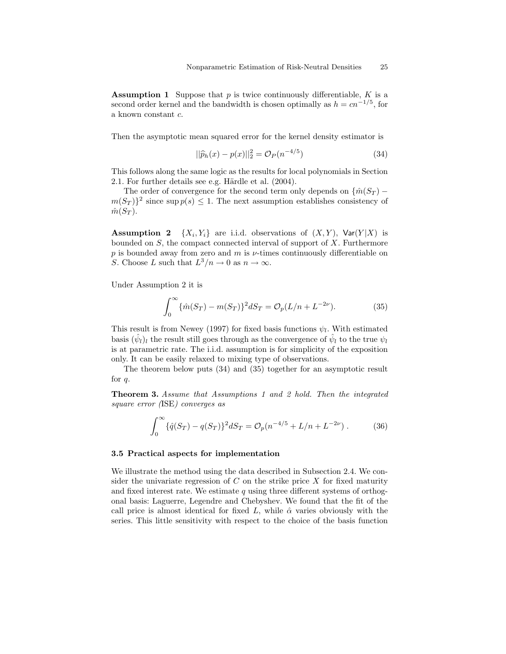**Assumption 1** Suppose that  $p$  is twice continuously differentiable,  $K$  is a second order kernel and the bandwidth is chosen optimally as  $h = cn^{-1/5}$ , for a known constant c.

Then the asymptotic mean squared error for the kernel density estimator is

$$
||\hat{p}_h(x) - p(x)||_2^2 = \mathcal{O}_P(n^{-4/5})
$$
\n(34)

This follows along the same logic as the results for local polynomials in Section 2.1. For further details see e.g. Härdle et al.  $(2004)$ .

The order of convergence for the second term only depends on  $\{\hat{m}(S_T)$  $m(S_T)$ <sup>2</sup> since sup  $p(s) \leq 1$ . The next assumption establishes consistency of  $\hat{m}(S_T)$ .

**Assumption 2**  $\{X_i, Y_i\}$  are i.i.d. observations of  $(X, Y)$ ,  $\text{Var}(Y|X)$  is bounded on  $S$ , the compact connected interval of support of  $X$ . Furthermore p is bounded away from zero and m is  $\nu$ -times continuously differentiable on S. Choose L such that  $L^3/n \to 0$  as  $n \to \infty$ .

Under Assumption 2 it is

$$
\int_0^\infty {\{\hat{m}(S_T) - m(S_T)\} }^2 dS_T = \mathcal{O}_p(L/n + L^{-2\nu}).
$$
 (35)

This result is from Newey (1997) for fixed basis functions  $\psi_l$ . With estimated basis  $(\hat{\psi}_l)_l$  the result still goes through as the convergence of  $\hat{\psi}_l$  to the true  $\psi_l$ is at parametric rate. The i.i.d. assumption is for simplicity of the exposition only. It can be easily relaxed to mixing type of observations.

The theorem below puts (34) and (35) together for an asymptotic result for q.

Theorem 3. Assume that Assumptions 1 and 2 hold. Then the integrated square error (ISE) converges as

$$
\int_0^\infty \{\hat{q}(S_T) - q(S_T)\}^2 dS_T = \mathcal{O}_p(n^{-4/5} + L/n + L^{-2\nu})\,. \tag{36}
$$

# 3.5 Practical aspects for implementation

We illustrate the method using the data described in Subsection 2.4. We consider the univariate regression of  $C$  on the strike price  $X$  for fixed maturity and fixed interest rate. We estimate  $q$  using three different systems of orthogonal basis: Laguerre, Legendre and Chebyshev. We found that the fit of the call price is almost identical for fixed L, while  $\hat{\alpha}$  varies obviously with the series. This little sensitivity with respect to the choice of the basis function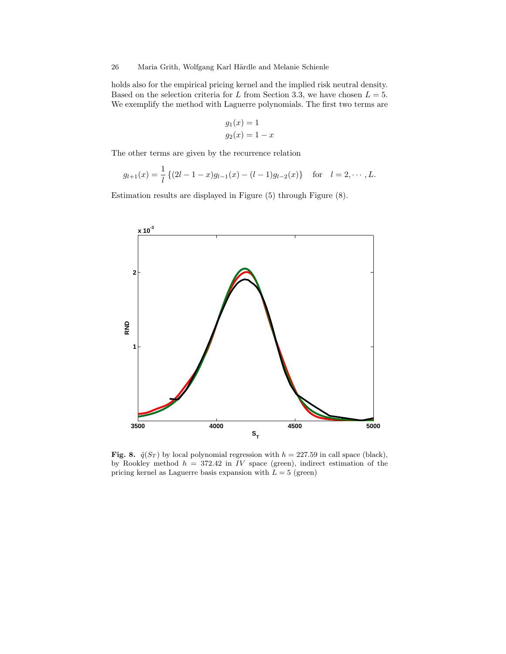holds also for the empirical pricing kernel and the implied risk neutral density. Based on the selection criteria for L from Section 3.3, we have chosen  $L = 5$ . We exemplify the method with Laguerre polynomials. The first two terms are

$$
g_1(x) = 1
$$
  

$$
g_2(x) = 1 - x
$$

The other terms are given by the recurrence relation

$$
g_{l+1}(x) = \frac{1}{l} \left\{ (2l-1-x)g_{l-1}(x) - (l-1)g_{l-2}(x) \right\} \text{ for } l = 2, \cdots, L.
$$

Estimation results are displayed in Figure (5) through Figure (8).



Fig. 8.  $\hat{q}(S_T)$  by local polynomial regression with  $h = 227.59$  in call space (black), by Rookley method  $h = 372.42$  in IV space (green), indirect estimation of the pricing kernel as Laguerre basis expansion with  $L = 5$  (green)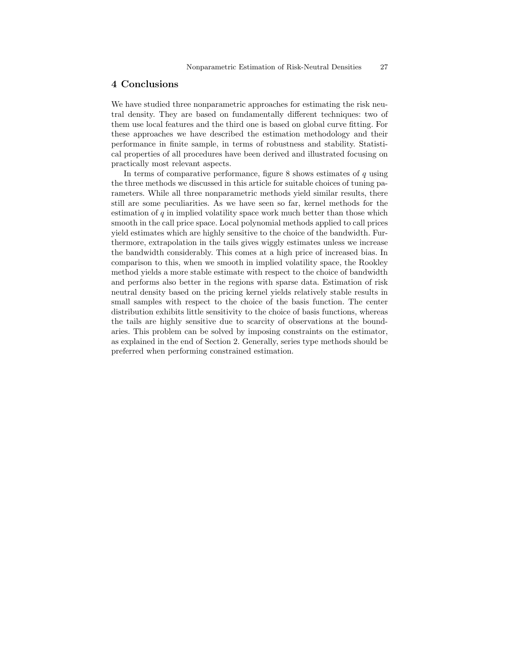# 4 Conclusions

We have studied three nonparametric approaches for estimating the risk neutral density. They are based on fundamentally different techniques: two of them use local features and the third one is based on global curve fitting. For these approaches we have described the estimation methodology and their performance in finite sample, in terms of robustness and stability. Statistical properties of all procedures have been derived and illustrated focusing on practically most relevant aspects.

In terms of comparative performance, figure  $8$  shows estimates of  $q$  using the three methods we discussed in this article for suitable choices of tuning parameters. While all three nonparametric methods yield similar results, there still are some peculiarities. As we have seen so far, kernel methods for the estimation of  $q$  in implied volatility space work much better than those which smooth in the call price space. Local polynomial methods applied to call prices yield estimates which are highly sensitive to the choice of the bandwidth. Furthermore, extrapolation in the tails gives wiggly estimates unless we increase the bandwidth considerably. This comes at a high price of increased bias. In comparison to this, when we smooth in implied volatility space, the Rookley method yields a more stable estimate with respect to the choice of bandwidth and performs also better in the regions with sparse data. Estimation of risk neutral density based on the pricing kernel yields relatively stable results in small samples with respect to the choice of the basis function. The center distribution exhibits little sensitivity to the choice of basis functions, whereas the tails are highly sensitive due to scarcity of observations at the boundaries. This problem can be solved by imposing constraints on the estimator, as explained in the end of Section 2. Generally, series type methods should be preferred when performing constrained estimation.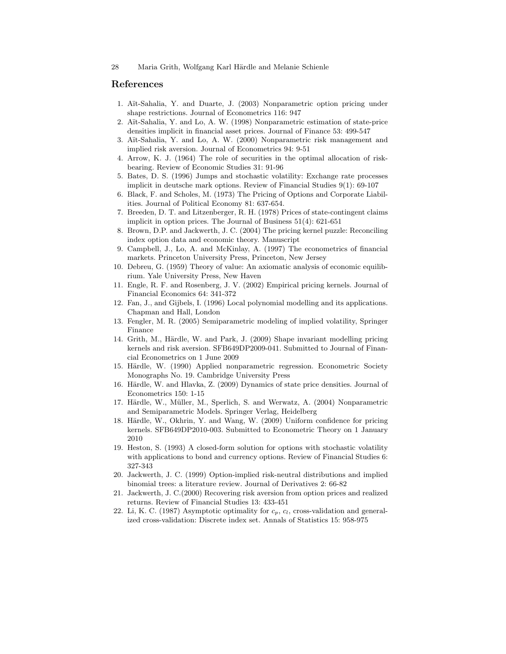## References

- 1. Aït-Sahalia, Y. and Duarte, J. (2003) Nonparametric option pricing under shape restrictions. Journal of Econometrics 116: 947
- 2. A¨ıt-Sahalia, Y. and Lo, A. W. (1998) Nonparametric estimation of state-price densities implicit in financial asset prices. Journal of Finance 53: 499-547
- 3. Aït-Sahalia, Y. and Lo, A. W. (2000) Nonparametric risk management and implied risk aversion. Journal of Econometrics 94: 9-51
- 4. Arrow, K. J. (1964) The role of securities in the optimal allocation of riskbearing. Review of Economic Studies 31: 91-96
- 5. Bates, D. S. (1996) Jumps and stochastic volatility: Exchange rate processes implicit in deutsche mark options. Review of Financial Studies 9(1): 69-107
- 6. Black, F. and Scholes, M. (1973) The Pricing of Options and Corporate Liabilities. Journal of Political Economy 81: 637-654.
- 7. Breeden, D. T. and Litzenberger, R. H. (1978) Prices of state-contingent claims implicit in option prices. The Journal of Business 51(4): 621-651
- 8. Brown, D.P. and Jackwerth, J. C. (2004) The pricing kernel puzzle: Reconciling index option data and economic theory. Manuscript
- 9. Campbell, J., Lo, A. and McKinlay, A. (1997) The econometrics of financial markets. Princeton University Press, Princeton, New Jersey
- 10. Debreu, G. (1959) Theory of value: An axiomatic analysis of economic equilibrium. Yale University Press, New Haven
- 11. Engle, R. F. and Rosenberg, J. V. (2002) Empirical pricing kernels. Journal of Financial Economics 64: 341-372
- 12. Fan, J., and Gijbels, I. (1996) Local polynomial modelling and its applications. Chapman and Hall, London
- 13. Fengler, M. R. (2005) Semiparametric modeling of implied volatility, Springer Finance
- 14. Grith, M., Härdle, W. and Park, J. (2009) Shape invariant modelling pricing kernels and risk aversion. SFB649DP2009-041. Submitted to Journal of Financial Econometrics on 1 June 2009
- 15. Härdle, W. (1990) Applied nonparametric regression. Econometric Society Monographs No. 19. Cambridge University Press
- 16. Härdle, W. and Hlavka, Z. (2009) Dynamics of state price densities. Journal of Econometrics 150: 1-15
- 17. Härdle, W., Müller, M., Sperlich, S. and Werwatz, A. (2004) Nonparametric and Semiparametric Models. Springer Verlag, Heidelberg
- 18. Härdle, W., Okhrin, Y. and Wang, W. (2009) Uniform confidence for pricing kernels. SFB649DP2010-003. Submitted to Econometric Theory on 1 January 2010
- 19. Heston, S. (1993) A closed-form solution for options with stochastic volatility with applications to bond and currency options. Review of Financial Studies 6: 327-343
- 20. Jackwerth, J. C. (1999) Option-implied risk-neutral distributions and implied binomial trees: a literature review. Journal of Derivatives 2: 66-82
- 21. Jackwerth, J. C.(2000) Recovering risk aversion from option prices and realized returns. Review of Financial Studies 13: 433-451
- 22. Li, K. C. (1987) Asymptotic optimality for  $c_p$ ,  $c_l$ , cross-validation and generalized cross-validation: Discrete index set. Annals of Statistics 15: 958-975